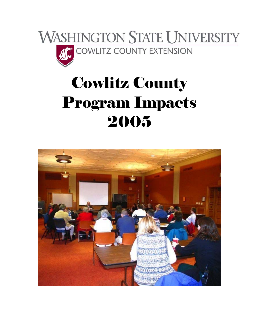

# Cowlitz County Program Impacts 2005

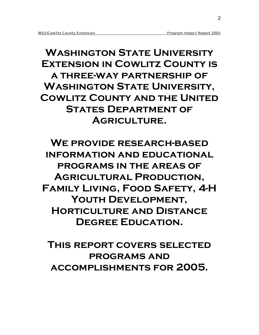## **Washington State University Extension in Cowlitz County is a three-way partnership of Washington State University, Cowlitz County and the United States Department of Agriculture.**

**We provide research-based information and educational programs in the areas of Agricultural Production, Family Living, Food Safety, 4-H Youth Development, Horticulture and Distance Degree Education.** 

**This report covers selected programs and accomplishments for 2005.**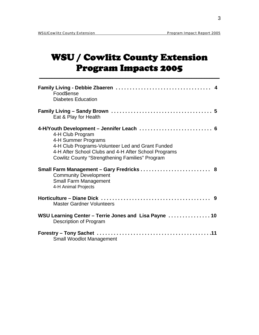### WSU / Cowlitz County Extension Program Impacts 2005

| Food\$ense<br><b>Diabetes Education</b>                                                                                                                                                                                                                    |  |
|------------------------------------------------------------------------------------------------------------------------------------------------------------------------------------------------------------------------------------------------------------|--|
| Eat & Play for Health                                                                                                                                                                                                                                      |  |
| 4-H/Youth Development - Jennifer Leach  6<br>4-H Club Program<br>4-H Summer Programs<br>4-H Club Programs-Volunteer Led and Grant Funded<br>4-H After School Clubs and 4-H After School Programs<br><b>Cowlitz County "Strengthening Families" Program</b> |  |
| Small Farm Management - Gary Fredricks  8<br><b>Community Development</b><br><b>Small Farm Management</b><br>4-H Animal Projects                                                                                                                           |  |
| <b>Master Gardner Volunteers</b>                                                                                                                                                                                                                           |  |
| WSU Learning Center - Terrie Jones and Lisa Payne  10<br>Description of Program                                                                                                                                                                            |  |
| <b>Small Woodlot Management</b>                                                                                                                                                                                                                            |  |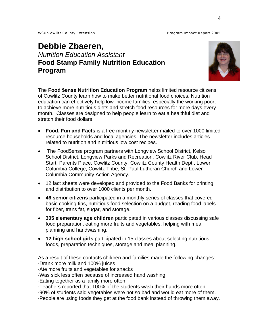#### **Debbie Zbaeren,**  *Nutrition Education Assistant*  **Food Stamp Family Nutrition Education Program**



The **Food \$ense Nutrition Education Program** helps limited resource citizens of Cowlitz County learn how to make better nutritional food choices. Nutrition education can effectively help low-income families, especially the working poor, to achieve more nutritious diets and stretch food resources for more days every month. Classes are designed to help people learn to eat a healthful diet and stretch their food dollars.

- **Food, Fun and Facts** is a free monthly newsletter mailed to over 1000 limited resource households and local agencies. The newsletter includes articles related to nutrition and nutritious low cost recipes.
- The Food\$ense program partners with Longview School District, Kelso School District, Longview Parks and Recreation, Cowlitz River Club, Head Start, Parents Place, Cowlitz County, Cowlitz County Health Dept., Lower Columbia College, Cowlitz Tribe, St. Paul Lutheran Church and Lower Columbia Community Action Agency.
- 12 fact sheets were developed and provided to the Food Banks for printing and distribution to over 1000 clients per month.
- **46 senior citizens** participated in a monthly series of classes that covered basic cooking tips, nutritious food selection on a budget, reading food labels for fiber, trans fat, sugar, and storage.
- **305 elementary age children** participated in various classes discussing safe food preparation, eating more fruits and vegetables, helping with meal planning and handwashing.
- **12 high school girls** participated in 15 classes about selecting nutritious foods, preparation techniques, storage and meal planning.

As a result of these contacts children and families made the following changes: ·Drank more milk and 100% juices

·Ate more fruits and vegetables for snacks

·Was sick less often because of increased hand washing

·Eating together as a family more often

·Teachers reported that 100% of the students wash their hands more often.

·90% of students said vegetables were not so bad and would eat more of them. ·People are using foods they get at the food bank instead of throwing them away.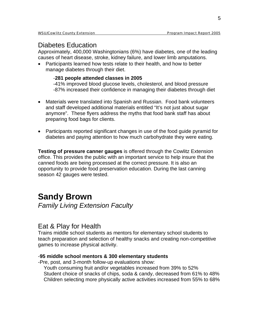#### Diabetes Education

Approximately, 400,000 Washingtonians (6%) have diabetes, one of the leading causes of heart disease, stroke, kidney failure, and lower limb amputations.

• Participants learned how tests relate to their health, and how to better manage diabetes through their diet.

#### -**281 people attended classes in 2005**

-41% improved blood glucose levels, cholesterol, and blood pressure -87% increased their confidence in managing their diabetes through diet

- Materials were translated into Spanish and Russian. Food bank volunteers and staff developed additional materials entitled "It's not just about sugar anymore". These flyers address the myths that food bank staff has about preparing food bags for clients.
- Participants reported significant changes in use of the food guide pyramid for diabetes and paying attention to how much carbohydrate they were eating.

**Testing of pressure canner gauges** is offered through the Cowlitz Extension office. This provides the public with an important service to help insure that the canned foods are being processed at the correct pressure. It is also an opportunity to provide food preservation education. During the last canning season 42 gauges were tested.

### **Sandy Brown**

*Family Living Extension Faculty* 

#### Eat & Play for Health

Trains middle school students as mentors for elementary school students to teach preparation and selection of healthy snacks and creating non-competitive games to increase physical activity.

#### -**95 middle school mentors & 300 elementary students**

-Pre, post, and 3-month follow-up evaluations show:

 Youth consuming fruit and/or vegetables increased from 39% to 52% Student choice of snacks of chips, soda & candy, decreased from 61% to 48% Children selecting more physically active activities increased from 55% to 68%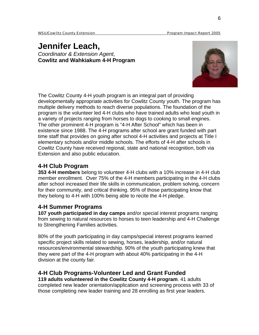#### **Jennifer Leach,**  *Coordinator & Extension Agent,*  **Cowlitz and Wahkiakum 4-H Program**



The Cowlitz County 4-H youth program is an integral part of providing developmentally appropriate activities for Cowlitz County youth. The program has multiple delivery methods to reach diverse populations. The foundation of the program is the volunteer led 4-H clubs who have trained adults who lead youth in a variety of projects ranging from horses to dogs to cooking to small engines. The other prominent 4-H program is "4-H After School" which has been in existence since 1988. The 4-H programs after school are grant funded with part time staff that provides on going after school 4-H activities and projects at Title I elementary schools and/or middle schools. The efforts of 4-H after schools in Cowlitz County have received regional, state and national recognition, both via Extension and also public education.

#### **4-H Club Program**

**353 4-H members** belong to volunteer 4-H clubs with a 10% increase in 4-H club member enrollment. Over 75% of the 4-H members participating in the 4-H clubs after school increased their life skills in communication, problem solving, concern for their community, and critical thinking. 95% of those participating know that they belong to 4-H with 100% being able to recite the 4-H pledge.

#### **4-H Summer Programs**

**107 youth participated in day camps** and/or special interest programs ranging from sewing to natural resources to horses to teen leadership and 4-H Challenge to Strengthening Families activities.

80% of the youth participating in day camps/special interest programs learned specific project skills related to sewing, horses, leadership, and/or natural resources/environmental stewardship. 90% of the youth participating knew that they were part of the 4-H program with about 40% participating in the 4-H division at the county fair.

#### **4-H Club Programs-Volunteer Led and Grant Funded**

**119 adults volunteered in the Cowlitz County 4-H program**. 41 adults completed new leader orientation/application and screening process with 33 of those completing new leader training and 28 enrolling as first year leaders.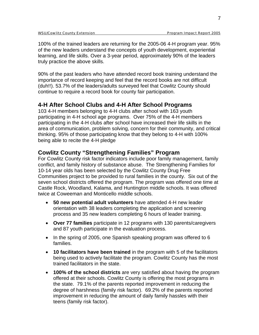WSU/Cowlitz County Extension Program Impact Report 2005

100% of the trained leaders are returning for the 2005-06 4-H program year. 95% of the new leaders understand the concepts of youth development, experiential learning, and life skills. Over a 3-year period, approximately 90% of the leaders truly practice the above skills.

90% of the past leaders who have attended record book training understand the importance of record keeping and feel that the record books are not difficult (duh!!). 53.7% of the leaders/adults surveyed feel that Cowlitz County should continue to require a record book for county fair participation.

#### **4-H After School Clubs and 4-H After School Programs**

103 4-H members belonging to 4-H clubs after school with 163 youth participating in 4-H school age programs. Over 75% of the 4-H members participating in the 4-H clubs after school have increased their life skills in the area of communication, problem solving, concern for their community, and critical thinking. 95% of those participating know that they belong to 4-H with 100% being able to recite the 4-H pledge

#### **Cowlitz County "Strengthening Families" Program**

For Cowlitz County risk factor indicators include poor family management, family conflict, and family history of substance abuse. The Strengthening Families for 10-14 year olds has been selected by the Cowlitz County Drug Free Communities project to be provided to rural families in the county. Six out of the seven school districts offered the program. The program was offered one time at Castle Rock, Woodland, Kalama, and Huntington middle schools. It was offered twice at Coweeman and Monticello middle schools.

- **50 new potential adult volunteers** have attended 4-H new leader orientation with 38 leaders completing the application and screening process and 35 new leaders completing 6 hours of leader training.
- **Over 77 families** participate in 12 programs with 130 parents/caregivers and 87 youth participate in the evaluation process.
- In the spring of 2005, one Spanish speaking program was offered to 6 families.
- **10 facilitators have been trained** in the program with 5 of the facilitators being used to actively facilitate the program. Cowlitz County has the most trained facilitators in the state.
- **100% of the school districts** are very satisfied about having the program offered at their schools. Cowlitz County is offering the most programs in the state. 79.1% of the parents reported improvement in reducing the degree of harshness (family risk factor). 69.2% of the parents reported improvement in reducing the amount of daily family hassles with their teens (family risk factor).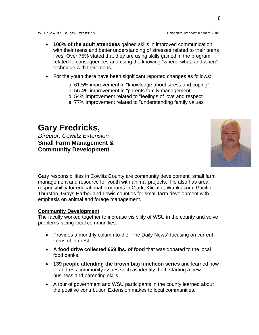- **100% of the adult attendees** gained skills in improved communication with their teens and better understanding of stresses related to their teens lives. Over 75% stated that they are using skills gained in the program related to consequences and using the knowing "where, what, and when" technique with their teens.
- For the youth there have been significant reported changes as follows:
	- a. 61.5% improvement in "knowledge about stress and coping"
	- b. 56.4% improvement in "parents family management"
	- d. 54% improvement related to "feelings of love and respect"
	- e. 77% improvement related to "understanding family values"

#### **Gary Fredricks,**  *Director, Cowlitz Extension*  **Small Farm Management & Community Development**



Gary responsibilities in Cowlitz County are community development, small farm management and resource for youth with animal projects. He also has area responsibility for educational programs in Clark, Klickitat, Wahkiakum, Pacific, Thurston, Grays Harbor and Lewis counties for small farm development with emphasis on animal and forage management.

#### **Community Development**

The faculty worked together to increase visibility of WSU in the county and solve problems facing local communities.

- Provides a monthly column to the "The Daily News" focusing on current items of interest.
- **A food drive collected 669 lbs. of food** that was donated to the local food banks.
- **139 people attending the brown bag luncheon series** and learned how to address community issues such as identify theft, starting a new business and parenting skills.
- A tour of government and WSU participants in the county learned about the positive contribution Extension makes to local communities.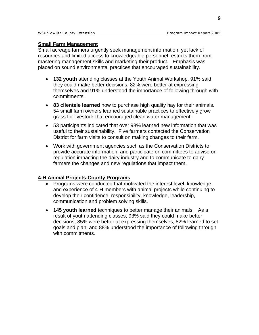#### **Small Farm Management**

Small acreage farmers urgently seek management information, yet lack of resources and limited access to knowledgeable personnel restricts them from mastering management skills and marketing their product. Emphasis was placed on sound environmental practices that encouraged sustainability.

- **132 youth** attending classes at the Youth Animal Workshop, 91% said they could make better decisions, 82% were better at expressing themselves and 91% understood the importance of following through with commitments.
- **83 clientele learned** how to purchase high quality hay for their animals. 54 small farm owners learned sustainable practices to effectively grow grass for livestock that encouraged clean water management .
- 53 participants indicated that over 98% learned new information that was useful to their sustainability. Five farmers contacted the Conservation District for farm visits to consult on making changes to their farm.
- Work with government agencies such as the Conservation Districts to provide accurate information, and participate on committees to advise on regulation impacting the dairy industry and to communicate to dairy farmers the changes and new regulations that impact them.

#### **4-H Animal Projects-County Programs**

- Programs were conducted that motivated the interest level, knowledge and experience of 4-H members with animal projects while continuing to develop their confidence, responsibility, knowledge, leadership, communication and problem solving skills.
- **145 youth learned** techniques to better manage their animals. As a result of youth attending classes, 93% said they could make better decisions, 85% were better at expressing themselves, 82% learned to set goals and plan, and 88% understood the importance of following through with commitments.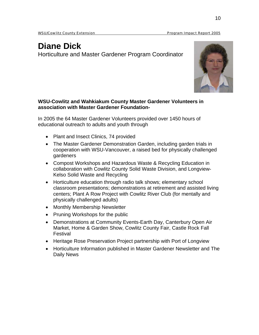WSU/Cowlitz County Extension Program Impact Report 2005

## **Diane Dick**

Horticulture and Master Gardener Program Coordinator



#### **WSU-Cowlitz and Wahkiakum County Master Gardener Volunteers in association with Master Gardener Foundation-**

In 2005 the 64 Master Gardener Volunteers provided over 1450 hours of educational outreach to adults and youth through

- Plant and Insect Clinics, 74 provided
- The Master Gardener Demonstration Garden, including garden trials in cooperation with WSU-Vancouver, a raised bed for physically challenged gardeners
- Compost Workshops and Hazardous Waste & Recycling Education in collaboration with Cowlitz County Solid Waste Division, and Longview-Kelso Solid Waste and Recycling
- Horticulture education through radio talk shows; elementary school classroom presentations; demonstrations at retirement and assisted living centers; Plant A Row Project with Cowlitz River Club (for mentally and physically challenged adults)
- Monthly Membership Newsletter
- Pruning Workshops for the public
- Demonstrations at Community Events-Earth Day, Canterbury Open Air Market, Home & Garden Show, Cowlitz County Fair, Castle Rock Fall Festival
- Heritage Rose Preservation Project partnership with Port of Longview
- Horticulture Information published in Master Gardener Newsletter and The Daily News